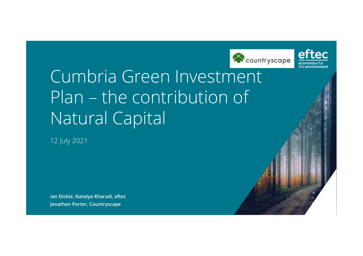



## Cumbria Green Investment Plan – the contribution of Natural Capital

12 July 2021

**Ian Dickie, Natalya Kharadi, eftecJonathan Porter, Countryscape**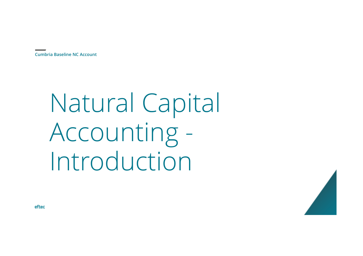# Natural Capital Accounting -Introduction

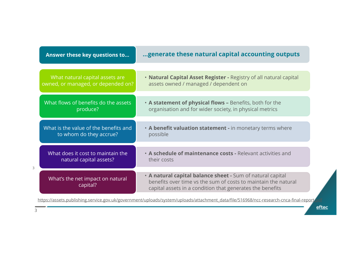| Answer these key questions to                                         | generate these natural capital accounting outputs                                                                                                                                         |  |  |
|-----------------------------------------------------------------------|-------------------------------------------------------------------------------------------------------------------------------------------------------------------------------------------|--|--|
|                                                                       |                                                                                                                                                                                           |  |  |
| What natural capital assets are<br>owned, or managed, or depended on? | . Natural Capital Asset Register - Registry of all natural capital<br>assets owned / managed / dependent on                                                                               |  |  |
| What flows of benefits do the assets                                  | . A statement of physical flows - Benefits, both for the                                                                                                                                  |  |  |
| produce?                                                              | organisation and for wider society, in physical metrics                                                                                                                                   |  |  |
| What is the value of the benefits and                                 | . A benefit valuation statement - in monetary terms where                                                                                                                                 |  |  |
| to whom do they accrue?                                               | possible                                                                                                                                                                                  |  |  |
|                                                                       |                                                                                                                                                                                           |  |  |
| What does it cost to maintain the<br>natural capital assets?          | • A schedule of maintenance costs - Relevant activities and<br>their costs                                                                                                                |  |  |
|                                                                       |                                                                                                                                                                                           |  |  |
| What's the net impact on natural<br>capital?                          | . A natural capital balance sheet - Sum of natural capital<br>benefits over time vs the sum of costs to maintain the natural<br>capital assets in a condition that generates the benefits |  |  |
|                                                                       |                                                                                                                                                                                           |  |  |

https://assets.publishing.service.gov.uk/government/uploads/system/uploads/attachment\_data/file/516968/ncc-research-cnca-final-report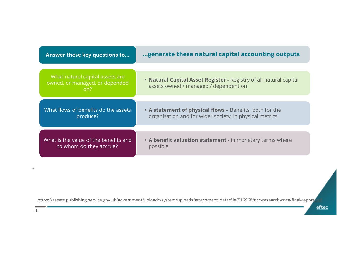| Answer these key questions to                                            | generate these natural capital accounting outputs                                                                   |
|--------------------------------------------------------------------------|---------------------------------------------------------------------------------------------------------------------|
|                                                                          |                                                                                                                     |
| What natural capital assets are<br>owned, or managed, or depended<br>on? | . Natural Capital Asset Register - Registry of all natural capital<br>assets owned / managed / dependent on         |
|                                                                          |                                                                                                                     |
| What flows of benefits do the assets<br>produce?                         | • A statement of physical flows - Benefits, both for the<br>organisation and for wider society, in physical metrics |
|                                                                          |                                                                                                                     |
| What is the value of the benefits and l<br>to whom do they accrue?       | . A benefit valuation statement - in monetary terms where<br>possible                                               |
|                                                                          |                                                                                                                     |

https://assets.publishing.service.gov.uk/government/uploads/system/uploads/attachment\_data/file/516968/ncc-research-cnca-final-report

eftec

 $\overline{4}$ 

4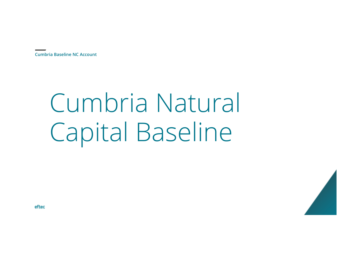# Cumbria Natural Capital Baseline

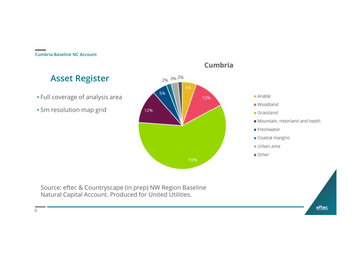### **Asset Register**

- Full coverage of analysis area
- 5m resolution map grid





Source: eftec & Countryscape (in prep) NW Region Baseline Natural Capital Account. Produced for United Utilities.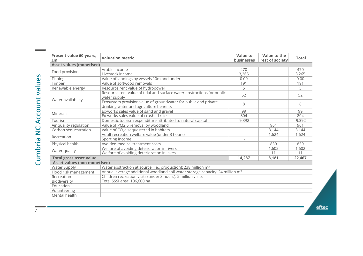| Present value 60-years,<br>£m       | <b>Valuation metric</b>                                                                                    | Value to<br><b>businesses</b> | Value to the<br>rest of society | <b>Total</b> |  |
|-------------------------------------|------------------------------------------------------------------------------------------------------------|-------------------------------|---------------------------------|--------------|--|
| <b>Asset values (monetised)</b>     |                                                                                                            |                               |                                 |              |  |
| Food provision                      | Arable income                                                                                              | 470                           |                                 | 470          |  |
|                                     | Livestock income                                                                                           | 3,265                         |                                 | 3,265        |  |
| Fishing                             | Value of landings by vessels 10m and under                                                                 | 0.00                          |                                 | 0.00         |  |
| Timber                              | Value of softwood removals                                                                                 | 191                           |                                 | 191          |  |
| Renewable energy                    | Resource rent value of hydropower                                                                          | 5                             |                                 | 5            |  |
| Water availability                  | Resource rent value of tidal and surface water abstractions for public<br>water supply                     | 52                            |                                 | 52           |  |
|                                     | Ecosystem provision value of groundwater for public and private<br>drinking water and agriculture benefits | 8                             |                                 | 8            |  |
| Minerals                            | Ex-works sales value of sand and gravel                                                                    | 99                            |                                 | 99           |  |
|                                     | Ex-works sales value of crushed rock                                                                       | 804                           |                                 | 804          |  |
| Tourism                             | Domestic tourism expenditure attributed to natural capital                                                 | 9,392                         |                                 | 9,392        |  |
| Air quality regulation              | Value of PM2.5 removal by woodland                                                                         |                               | 961                             | 961          |  |
| Carbon sequestration                | Value of CO <sub>2</sub> e sequestered in habitats                                                         |                               | 3,144                           | 3,144        |  |
| Recreation                          | Adult recreation welfare value (under 3 hours)                                                             |                               | 1.624                           | 1,624        |  |
|                                     | Sporting income                                                                                            |                               |                                 |              |  |
| Physical health                     | Avoided medical treatment costs                                                                            |                               | 839                             | 839          |  |
| Water quality                       | Welfare of avoiding deterioration in rivers                                                                |                               | 1,602                           | 1,602        |  |
|                                     | Welfare of avoiding deterioration in lakes                                                                 |                               | 11                              | 11           |  |
| <b>Total gross asset value</b>      |                                                                                                            | 14,287                        | 8,181                           | 22,467       |  |
| <b>Asset values (non-monetised)</b> |                                                                                                            |                               |                                 |              |  |
| Water Supply                        | Water abstraction at source (i.e., production): 238 million m <sup>3</sup>                                 |                               |                                 |              |  |
| Flood risk management               | Annual average additional woodland soil water storage capacity: 24 million m <sup>3</sup>                  |                               |                                 |              |  |
| Recreation                          | Children recreation visits (under 3 hours): 5 million visits                                               |                               |                                 |              |  |
| Biodiversity                        | Total SSSI area: 106,600 ha                                                                                |                               |                                 |              |  |
| Education                           |                                                                                                            |                               |                                 |              |  |
| Volunteering                        |                                                                                                            |                               |                                 |              |  |
| Mental health                       |                                                                                                            |                               |                                 |              |  |

 $\underline{\mathsf{eftec}}$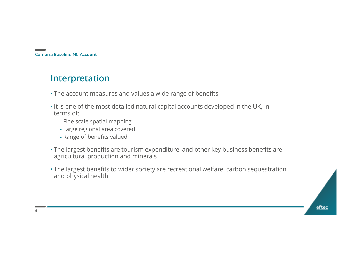### **Interpretation**

- The account measures and values a wide range of benefits
- It is one of the most detailed natural capital accounts developed in the UK, in terms of:
	- Fine scale spatial mapping
	- Large regional area covered
	- Range of benefits valued
- The largest benefits are tourism expenditure, and other key business benefits are agricultural production and minerals
- The largest benefits to wider society are recreational welfare, carbon sequestration and physical health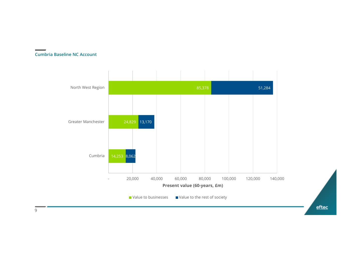

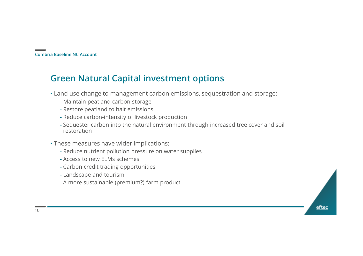#### **Green Natural Capital investment options**

- Land use change to management carbon emissions, sequestration and storage:
	- Maintain peatland carbon storage
	- Restore peatland to halt emissions
	- Reduce carbon-intensity of livestock production
	- Sequester carbon into the natural environment through increased tree cover and soil restoration
- These measures have wider implications:
	- Reduce nutrient pollution pressure on water supplies
	- Access to new ELMs schemes
	- Carbon credit trading opportunities
	- Landscape and tourism
	- A more sustainable (premium?) farm product